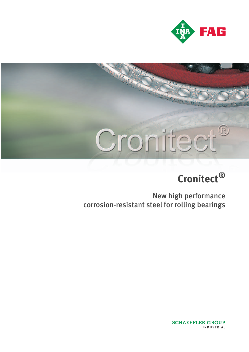

# Cronitect  $\mathbb{R}$

## **Cronitect®**

New high performance corrosion-resistant steel for rolling bearings

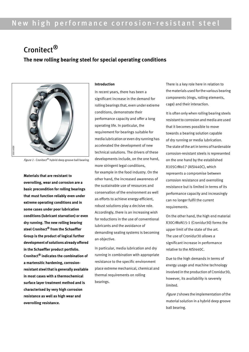## New high performance corrosion-resistant steel

### Cronitect<sup>®</sup> **The new rolling bearing steel for special operating conditions**



Figure 1  $\cdot$  Cronitect® hybrid deep groove ball bearing

**Materials that are resistant to overrolling, wear and corrosion are a basic precondition for rolling bearings that must function reliably even under extreme operating conditions and in some cases under poor lubrication conditions (lubricant starvation) or even dry running. The new rolling bearing steel Cronitect® from the Schaeffler Group is the product of logical further development of solutions already offered in the Schaeffler product portfolio. Cronitect® indicates the combination of a martensitic hardening, corrosionresistant steel that is generally available in most cases with a thermochemical surface layer treatment method and is characterised by very high corrosion resistance as well as high wear and overrolling resistance.**

#### **Introduction**

In recent years, there has been a significant increase in the demand for rolling bearings that, even under extreme conditions, demonstrate their performance capacity and offer a long operating life. In particular, the requirement for bearings suitable for media lubrication or even dry running has accelerated the development of new technical solutions. The drivers of these developments include, on the one hand, more stringent legal conditions, for example in the food industry. On the other hand, the increased awareness of the sustainable use of resources and conservation of the environment as well as efforts to achieve energy-efficient, robust solutions play a decisive role. Accordingly, there is an increasing wish for reductions in the use of conventional lubricants and the avoidance of demanding sealing systems is becoming an objective.

In particular, media lubrication and dry running in combination with appropriate resistance to the specific environment place extreme mechanical, chemical and thermal requirements on rolling bearings.

There is a key role here in relation to the materials used for the various bearing components (rings, rolling elements, cage) and their interaction.

It is often only when rolling bearing steels resistant to corrosion and media are used that it becomes possible to move towards a bearing solution capable of dry running or media lubrication. The state of the art in terms of hardenable corrosion-resistant steels is represented on the one hand by the established X105CrMo17 (AISI440C), which represents a compromise between corrosion resistance and overrolling resistance but is limited in terms of its performance capacity and increasingly can no longer fulfil the current requirements.

On the other hand, the high end material X30CrMoN15-1 (Cronidur30) forms the upper limit of the state of the art. The use of Cronidur30 allows a significant increase in performance relative to the AISI440C.

Due to the high demands in terms of energy usage and machine technology involved in the production of Cronidur30, however, its availability is severely limited.

Figure 1 shows the implementation of the material solution in a hybrid deep groove ball bearing.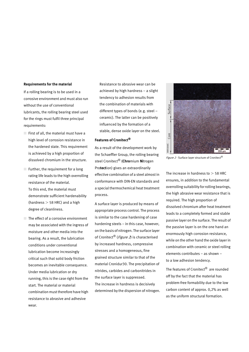#### **Requirements for the material**

If a rolling bearing is to be used in a corrosive environment and must also run without the use of conventional lubricants, the rolling bearing steel used for the rings must fulfil three principal requirements:

- $\Box$  First of all, the material must have a high level of corrosion resistance in the hardened state. This requirement is achieved by a high proportion of dissolved chromium in the structure.
- $\blacksquare$  Further, the requirement for a long rating life leads to the high overrolling resistance of the material. To this end, the material must demonstrate sufficient hardenability (hardness  $>$  58 HRC) and a high degree of cleanliness.
- The effect of a corrosive environment may be associated with the ingress of moisture and other media into the bearing. As a result, the lubrication conditions under conventional lubrication become increasingly critical such that solid body friction becomes an inevitable consequence. Under media lubrication or dry running, this is the case right from the start. The material or material combination must therefore have high resistance to abrasive and adhesive wear.

Resistance to abrasive wear can be achieved by high hardness – a slight tendency to adhesion results from the combination of materials with different types of bonds (e.g. steel – ceramic). The latter can be positively influenced by the formation of a stable, dense oxide layer on the steel.

#### **Features of Cronitect®**

As a result of the development work by the Schaeffler Group, the rolling bearing steel Cronitect® (**Chro**mium **Ni**trogen Pro**tect**ion) gives an extraordinarily effective combination of a steel almost in conformance with DIN-EN standards and a special thermochemical heat treatment process.

A surface layer is produced by means of appropriate process control. The process is similar to the case hardening of case hardening steels – in this case, however, on the basis of nitrogen. The surface layer of Cronitect<sup>®</sup> (*Figure 2*) is characterised by increased hardness, compressive stresses and a homogeneous, fine grained structure similar to that of the material Cronidur30. The precipitation of nitrides, carbides and carbonitrides in the surface layer is suppressed. The increase in hardness is decisively determined by the dispersion of nitrogen.



Figure 2  $\cdot$  Surface layer structure of Cronitect<sup>®</sup>

The increase in hardness to  $>$  58 HRC ensures, in addition to the fundamental overrolling suitability for rolling bearings, the high abrasive wear resistance that is required. The high proportion of dissolved chromium after heat treatment leads to a completely formed and stable passive layer on the surface. The result of the passive layer is on the one hand an enormously high corrosion resistance, while on the other hand the oxide layer in combination with ceramic or steel rolling elements contributes – as shown – to a low adhesion tendency. as the uniform structural formation.<br>The uniform structure of Contect<sup>e</sup><br>The increase in hardness to  $> 58$  H<br>ensures, in addition to the fundame<br>overrolling suitability for rolling beat<br>the high abrasive wear resistance t

The features of Cronitect® are rounded off by the fact that the material has problem-free formability due to the low carbon content of approx. 0,2% as well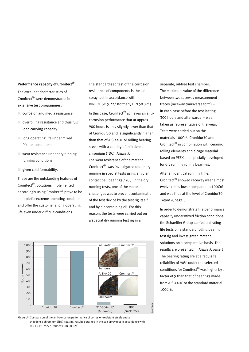#### **Performance capacity of Cronitect®**

The excellent characteristics of Cronitect® were demonstrated in extensive test programmes:

- corrosion and media resistance
- $\Box$  overrolling resistance and thus full load carrying capacity
- long operating life under mixed friction conditions
- $\Box$  wear resistance under dry running running conditions
- given cold formability.

These are the outstanding features of Cronitect®. Solutions implemented accordingly using Cronitect® prove to be suitable for extreme operating conditions and offer the customer a long operating life even under difficult conditions.

The standardised test of the corrosion resistance of components is the salt spray test in accordance with DIN EN ISO 9 227 (formerly DIN 50 021). In this case, Cronitect® achieves an anticorrosion performance that at approx. 900 hours is only slightly lower than that of Cronidur30 and is significantly higher than that of AISI440C or rolling bearing steels with a coating of thin dense chromium (TDC), Figure 3. The wear resistance of the material Cronitect® was investigated under dry running in special tests using angular contact ball bearings 7205. In the dry running tests, one of the major challenges was to prevent contamination of the test device by the test rig itself and by air containing oil. For this reason, the tests were carried out on a special dry running test rig in a



Figure 3 · Comparison of the anti-corrosion performance of corrosion-resistant steels and a thin dense chromium (TDC) coating, results obtained in the salt spray test in accordance with DIN EN ISO 9 227 (formerly DIN 50 021).

separate, oil-free test chamber. The maximum value of the difference between two raceway measurement traces (raceway transverse form) – in each case before the test lasting 300 hours and afterwards – was taken as representative of the wear. Tests were carried out on the materials 100Cr6, Cronidur30 and Cronitect® in combination with ceramic rolling elements and a cage material based on PEEK and specially developed for dry running rolling bearings.

After an identical running time, Cronitect® showed raceway wear almost twelve times lower compared to 100Cr6 and was thus at the level of Cronidur30, Figure 4, page 5.

In order to demonstrate the performance capacity under mixed friction conditions, the Schaeffler Group carried out rating life tests on a standard rolling bearing test rig and investigated material solutions on a comparative basis. The results are presented in *Figure 5*, page 5. The bearing rating life at a requisite reliability of 90% under the selected conditions for Cronitect® was higher by a factor of 9 than that of bearings made from AISI440C or the standard material 100Cr6.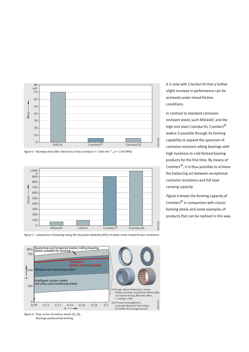

*Figure 4 ·* Raceway wear after 300 hours of dry running (n = 1000 min<sup>-1</sup>, p = 1350 MPa)









It is only with Cronidur30 that a further slight increase in performance can be achieved under mixed friction conditions.

In contrast to standard corrosionresistant steels such AISI440C and the high end steel Cronidur30, Cronitect® makes it possible through its forming capability to expand the spectrum of corrosion-resistant rolling bearings with high hardness to cold formed bearing products for the first time. By means of Cronitect $\mathcal{B}$ , it is thus possible to achieve the balancing act between exceptional corrosion resistance and full load carrying capacity.

Figure 6 shows the forming capacity of Cronitect® in comparison with classic forming steels and some examples of products that can be realised in this way.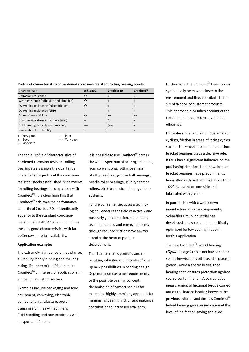| Characteristic                          | <b>AISI440C</b> | Cronidur30 | Cronitect <sup>®</sup> |
|-----------------------------------------|-----------------|------------|------------------------|
| Corrosion resistance                    |                 | $^{++}$    | $^{++}$                |
| Wear resistance (adhesion and abrasion) |                 |            | $\div$                 |
| Overrolling resistance (mixed friction) |                 | $^{++}$    | $^{++}$                |
| Overrolling resistance (EHD)            |                 | $^{++}$    | $\div$                 |
| Dimensional stability                   |                 | $^{++}$    | $^{++}$                |
| Compressive stresses (surface layer)    |                 | ∩          | $\div$                 |
| Cold forming capacity (unhardened)      |                 | --         | $\ddot{}$              |
| Raw material availability               |                 |            |                        |

#### Profile of characteristics of hardened corrosion-resistant rolling bearing steels

++ Very good – Poor

O Moderate

Very poor

The table Profile of characteristics of hardened corrosion-resistant rolling bearing steels shows the qualitative characteristics profile of the corrosionresistant steels established in the market for rolling bearings in comparison with Cronitect®. It is clear from this that Cronitect® achieves the performance capacity of Cronidur30, is significantly superior to the standard corrosionresistant steel AISI440C and combines the very good characteristics with far better raw material availability.

#### **Application examples**

The extremely high corrosion resistance, suitability for dry running and the long rating life under mixed friction make Cronitect® of interest for applications in almost all industrial sectors.

Examples include packaging and food equipment, conveying, electronic component manufacture, power transmission, heavy machinery, fluid handling and pneumatics as well as sport and fitness.

It is possible to use Cronitect<sup>®</sup> across the whole spectrum of bearing solutions, from conventional rolling bearings of all types (deep groove ball bearings, needle roller bearings, stud type track rollers, etc.) to classical linear guidance systems.

For the Schaeffler Group as a technological leader in the field of actively and passively guided motion, sustainable use of resources and energy efficiency through reduced friction have always stood at the heart of product development.

The characteristics portfolio and the resulting robustness of Cronitect® open up new possibilities in bearing design. Depending on customer requirements or the possible bearing concept, the omission of contact seals is for example a highly promising approach for minimising bearing friction and making a contribution to increased efficiency.

Furthermore, the Cronitect<sup>®</sup> bearing can symbolically be moved closer to the environment and thus contribute to the simplification of customer products. This approach also takes account of the concepts of resource conservation and efficiency.

For professional and ambitious amateur cyclists, friction in areas of racing cycles such as the wheel hubs and the botttom bracket bearings plays a decisive role. It thus has a significant influence on the purchasing decision. Until now, bottom bracket bearings have predominantly been fitted with ball bearings made from 100Cr6, sealed on one side and lubricated with grease.

In partnership with a well-known manufacturer of cycle components, Schaeffler Group Industrial has developed a new concept – specifically optimised for low bearing friction – for this application.

The new Cronitect<sup>®</sup> hybrid bearing (Figure 1, page 2) does not have a contact seal; a low viscosity oil is used in place of grease, while a specially designed bearing cage ensures protection against coarse contamination. A comparative measurement of frictional torque carried out on the loaded bearing between the previous solution and the new Cronitect® hybrid bearing gives an indication of the level of the friction saving achieved.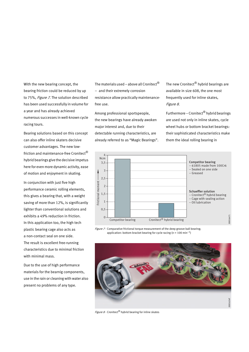With the new bearing concept, the bearing friction could be reduced by up to 75%, Figure 7. The solution described has been used successfully in volume for a year and has already achieved numerous successes in well-known cycle racing tours.

Bearing solutions based on this concept can also offer inline skaters decisive customer advantages. The new lowfriction and maintenance-free Cronitect® hybrid bearings give the decisive impetus here for even more dynamic activity, ease of motion and enjoyment in skating.

In conjunction with just five high performance ceramic rolling elements, this gives a bearing that, with a weight saving of more than 12%, is significantly lighter than conventional solutions and exhibits a 49% reduction in friction. In this application too, the high tech plastic bearing cage also acts as a non-contact seal on one side. The result is excellent free-running characteristics due to minimal friction with minimal mass.

Due to the use of high performance materials for the bearnig components, use in the rain or cleaning with water also present no problems of any type.

The materials used – above all Cronitect® – and their extremely corrosion resistance allow practically maintenancefree use.

Among professional sportspeople, the new bearings have already awoken major interest and, due to their detectable running characteristics, are already referred to as "Magic Bearings". The new Cronitect<sup>®</sup> hybrid bearings are available in size 608, the one most frequently used for inline skates, Figure 8.

Furthermore – Cronitect<sup>®</sup> hybrid bearings are used not only in inline skates, cycle wheel hubs or bottom bracket bearings: their sophisticated characteristics make them the ideal rolling bearing in



Figure  $7 \cdot$  Comparative frictional torque measurement of the deep groove ball bearing; application: bottom bracket bearing for cycle racing ( $n = 100$  min<sup>-1</sup>)



Figure  $8 \cdot$  Cronitect<sup>®</sup> hybrid bearing for inline skates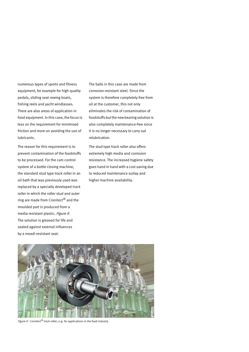numerous types of sports and fitness equipment, for example for high quality pedals, sliding seat rowing boats, fishing reels and yacht windlasses. There are also areas of application in food equipment. In this case, the focus is less on the requirement for minimised friction and more on avoiding the use of lubricants.

The reason for this requirement is to prevent contamination of the foodstuffs to be processed. For the cam control system of a bottle closing machine, the standard stud type track roller in an oil bath that was previously used was replaced by a specially developed track roller in which the roller stud and outer ring are made from Cronitect® and the moulded part is produced from a media-resistant plastic, Figure 9. The solution is greased for life and sealed against external influences by a meadi-resistant seal.

The balls in this case are made from corrosion-resistant steel. Since the system is therefore completely free from oil at the customer, this not only eliminates the risk of contamination of foodstuffs but the new bearing solution is also completely maintenance-free since it is no longer necessary to carry out relubrication.

The stud type track roller also offers extremely high media and corrosion resistance. The increased hygiene safety goes hand in hand with a cost saving due to reduced maintenance outlay and higher machine availability.



Figure  $9$   $\cdot$  Cronitect® track roller, e.g. for applications in the food industry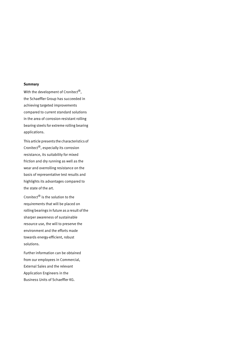#### **Summary**

With the development of Cronitect<sup>®</sup>, the Schaeffler Group has succeeded in achieving targeted improvements compared to current standard solutions in the area of corrosion-resistant rolling bearing steels for extreme rolling bearing applications.

This article presents the characteristics of Cronitect®, especially its corrosion resistance, its suitability for mixed friction and dry running as well as the wear and overrolling resistance on the basis of representative test results and highlights its advantages compared to the state of the art.

Cronitect® is the solution to the requirements that will be placed on rolling bearings in future as a result of the sharper awareness of sustainable resource use, the will to preserve the environment and the efforts made towards energy-efficient, robust solutions.

Further information can be obtained from our employees in Commercial, External Sales and the relevant Application Engineers in the Business Units of Schaeffler KG.